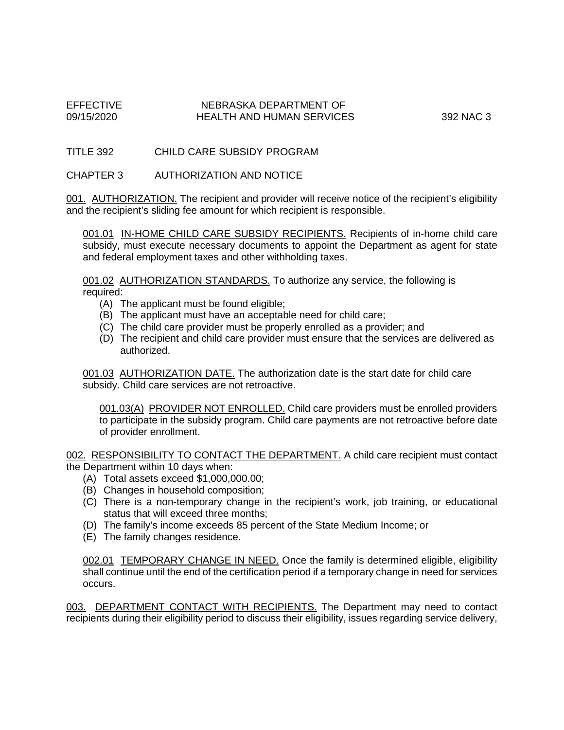## EFFECTIVE NEBRASKA DEPARTMENT OF NEBRASKA DEPARTMENT OF HEALTH AND HUMAN SERVICES 392 NAC 3

TITLE 392 CHILD CARE SUBSIDY PROGRAM

CHAPTER 3 AUTHORIZATION AND NOTICE

001. AUTHORIZATION. The recipient and provider will receive notice of the recipient's eligibility and the recipient's sliding fee amount for which recipient is responsible.

001.01 IN-HOME CHILD CARE SUBSIDY RECIPIENTS. Recipients of in-home child care subsidy, must execute necessary documents to appoint the Department as agent for state and federal employment taxes and other withholding taxes.

001.02 AUTHORIZATION STANDARDS. To authorize any service, the following is required:

- (A) The applicant must be found eligible;
- (B) The applicant must have an acceptable need for child care;
- (C) The child care provider must be properly enrolled as a provider; and
- (D) The recipient and child care provider must ensure that the services are delivered as authorized.

001.03 AUTHORIZATION DATE. The authorization date is the start date for child care subsidy. Child care services are not retroactive.

001.03(A) PROVIDER NOT ENROLLED. Child care providers must be enrolled providers to participate in the subsidy program. Child care payments are not retroactive before date of provider enrollment.

002. RESPONSIBILITY TO CONTACT THE DEPARTMENT. A child care recipient must contact the Department within 10 days when:

- (A) Total assets exceed \$1,000,000.00;
- (B) Changes in household composition;
- (C) There is a non-temporary change in the recipient's work, job training, or educational status that will exceed three months;
- (D) The family's income exceeds 85 percent of the State Medium Income; or
- (E) The family changes residence.

002.01 TEMPORARY CHANGE IN NEED. Once the family is determined eligible, eligibility shall continue until the end of the certification period if a temporary change in need for services occurs.

003. DEPARTMENT CONTACT WITH RECIPIENTS. The Department may need to contact recipients during their eligibility period to discuss their eligibility, issues regarding service delivery,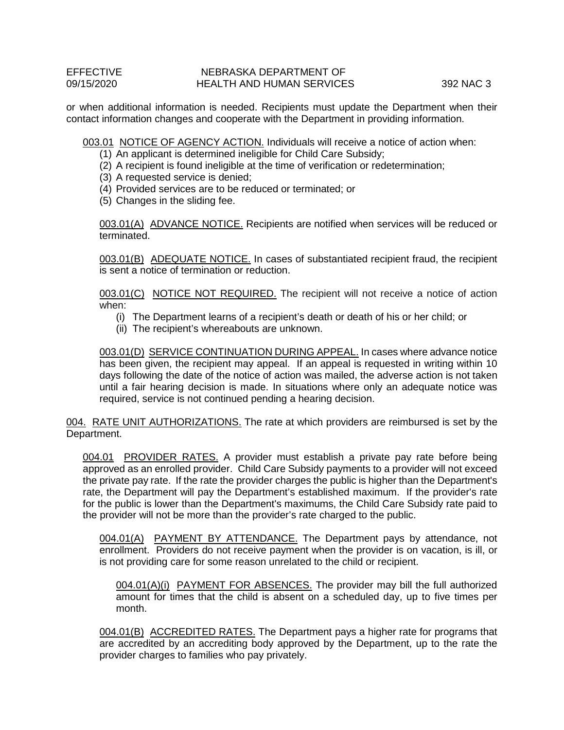## EFFECTIVE NEBRASKA DEPARTMENT OF NEBRASKA DEPARTMENT OF 09/15/2020 HEALTH AND HUMAN SERVICES 392 NAC 3

or when additional information is needed. Recipients must update the Department when their contact information changes and cooperate with the Department in providing information.

003.01 NOTICE OF AGENCY ACTION. Individuals will receive a notice of action when:

(1) An applicant is determined ineligible for Child Care Subsidy;

- (2) A recipient is found ineligible at the time of verification or redetermination;
- (3) A requested service is denied;
- (4) Provided services are to be reduced or terminated; or
- (5) Changes in the sliding fee.

003.01(A) ADVANCE NOTICE. Recipients are notified when services will be reduced or terminated.

003.01(B) ADEQUATE NOTICE. In cases of substantiated recipient fraud, the recipient is sent a notice of termination or reduction.

003.01(C) NOTICE NOT REQUIRED. The recipient will not receive a notice of action when:

- (i) The Department learns of a recipient's death or death of his or her child; or
- (ii) The recipient's whereabouts are unknown.

003.01(D) SERVICE CONTINUATION DURING APPEAL. In cases where advance notice has been given, the recipient may appeal. If an appeal is requested in writing within 10 days following the date of the notice of action was mailed, the adverse action is not taken until a fair hearing decision is made. In situations where only an adequate notice was required, service is not continued pending a hearing decision.

004. RATE UNIT AUTHORIZATIONS. The rate at which providers are reimbursed is set by the Department.

004.01 PROVIDER RATES. A provider must establish a private pay rate before being approved as an enrolled provider. Child Care Subsidy payments to a provider will not exceed the private pay rate. If the rate the provider charges the public is higher than the Department's rate, the Department will pay the Department's established maximum. If the provider's rate for the public is lower than the Department's maximums, the Child Care Subsidy rate paid to the provider will not be more than the provider's rate charged to the public.

004.01(A) PAYMENT BY ATTENDANCE. The Department pays by attendance, not enrollment. Providers do not receive payment when the provider is on vacation, is ill, or is not providing care for some reason unrelated to the child or recipient.

004.01(A)(i) PAYMENT FOR ABSENCES. The provider may bill the full authorized amount for times that the child is absent on a scheduled day, up to five times per month.

004.01(B) ACCREDITED RATES. The Department pays a higher rate for programs that are accredited by an accrediting body approved by the Department, up to the rate the provider charges to families who pay privately.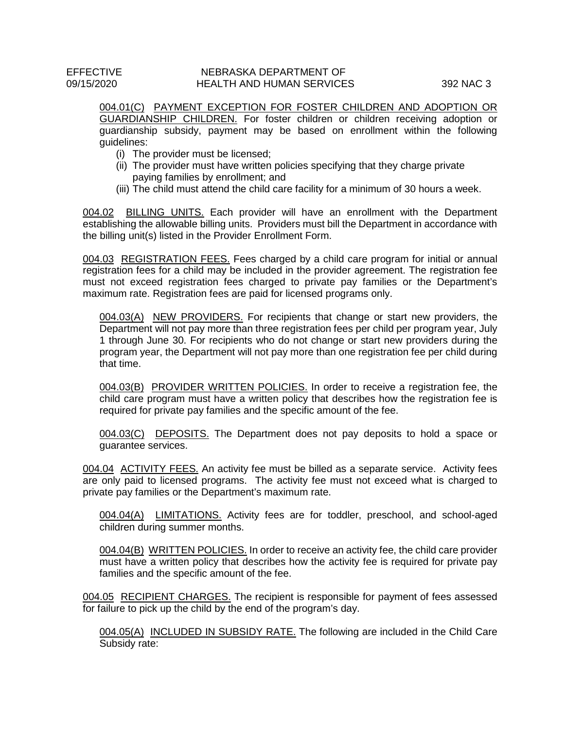## EFFECTIVE NEBRASKA DEPARTMENT OF NEBRASKA DEPARTMENT OF HEALTH AND HUMAN SERVICES 392 NAC 3

004.01(C) PAYMENT EXCEPTION FOR FOSTER CHILDREN AND ADOPTION OR GUARDIANSHIP CHILDREN. For foster children or children receiving adoption or guardianship subsidy, payment may be based on enrollment within the following guidelines:

- (i) The provider must be licensed;
- (ii) The provider must have written policies specifying that they charge private paying families by enrollment; and
- (iii) The child must attend the child care facility for a minimum of 30 hours a week.

004.02 BILLING UNITS. Each provider will have an enrollment with the Department establishing the allowable billing units. Providers must bill the Department in accordance with the billing unit(s) listed in the Provider Enrollment Form.

004.03 REGISTRATION FEES. Fees charged by a child care program for initial or annual registration fees for a child may be included in the provider agreement. The registration fee must not exceed registration fees charged to private pay families or the Department's maximum rate. Registration fees are paid for licensed programs only.

004.03(A) NEW PROVIDERS. For recipients that change or start new providers, the Department will not pay more than three registration fees per child per program year, July 1 through June 30. For recipients who do not change or start new providers during the program year, the Department will not pay more than one registration fee per child during that time.

004.03(B) PROVIDER WRITTEN POLICIES. In order to receive a registration fee, the child care program must have a written policy that describes how the registration fee is required for private pay families and the specific amount of the fee.

004.03(C) DEPOSITS. The Department does not pay deposits to hold a space or guarantee services.

004.04 ACTIVITY FEES. An activity fee must be billed as a separate service. Activity fees are only paid to licensed programs. The activity fee must not exceed what is charged to private pay families or the Department's maximum rate.

004.04(A) LIMITATIONS. Activity fees are for toddler, preschool, and school-aged children during summer months.

004.04(B) WRITTEN POLICIES. In order to receive an activity fee, the child care provider must have a written policy that describes how the activity fee is required for private pay families and the specific amount of the fee.

004.05 RECIPIENT CHARGES. The recipient is responsible for payment of fees assessed for failure to pick up the child by the end of the program's day.

004.05(A) INCLUDED IN SUBSIDY RATE. The following are included in the Child Care Subsidy rate: